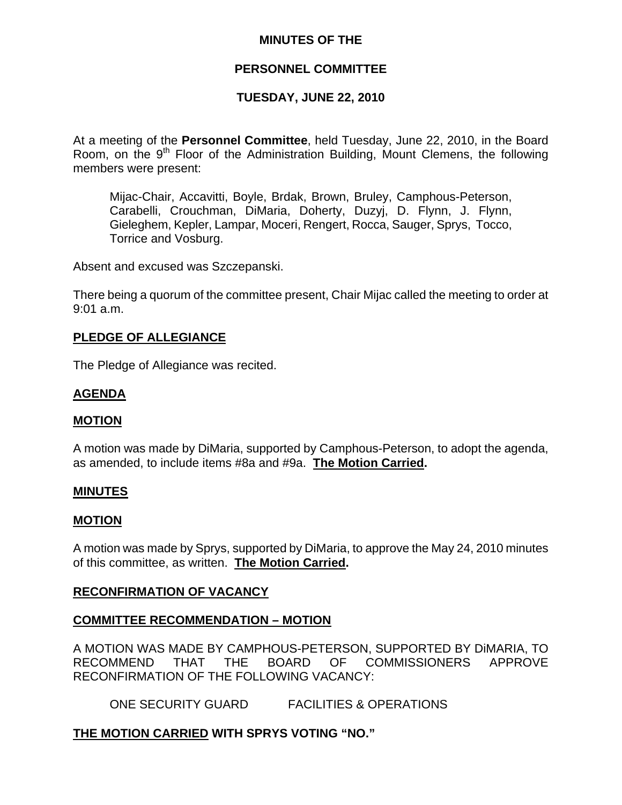## **MINUTES OF THE**

## **PERSONNEL COMMITTEE**

# **TUESDAY, JUNE 22, 2010**

At a meeting of the **Personnel Committee**, held Tuesday, June 22, 2010, in the Board Room, on the  $9<sup>th</sup>$  Floor of the Administration Building, Mount Clemens, the following members were present:

Mijac-Chair, Accavitti, Boyle, Brdak, Brown, Bruley, Camphous-Peterson, Carabelli, Crouchman, DiMaria, Doherty, Duzyj, D. Flynn, J. Flynn, Gieleghem, Kepler, Lampar, Moceri, Rengert, Rocca, Sauger, Sprys, Tocco, Torrice and Vosburg.

Absent and excused was Szczepanski.

There being a quorum of the committee present, Chair Mijac called the meeting to order at 9:01 a.m.

## **PLEDGE OF ALLEGIANCE**

The Pledge of Allegiance was recited.

# **AGENDA**

### **MOTION**

A motion was made by DiMaria, supported by Camphous-Peterson, to adopt the agenda, as amended, to include items #8a and #9a. **The Motion Carried.** 

### **MINUTES**

### **MOTION**

A motion was made by Sprys, supported by DiMaria, to approve the May 24, 2010 minutes of this committee, as written. **The Motion Carried.** 

## **RECONFIRMATION OF VACANCY**

## **COMMITTEE RECOMMENDATION – MOTION**

A MOTION WAS MADE BY CAMPHOUS-PETERSON, SUPPORTED BY DiMARIA, TO RECOMMEND THAT THE BOARD OF COMMISSIONERS APPROVE RECONFIRMATION OF THE FOLLOWING VACANCY:

ONE SECURITY GUARD FACILITIES & OPERATIONS

## **THE MOTION CARRIED WITH SPRYS VOTING "NO."**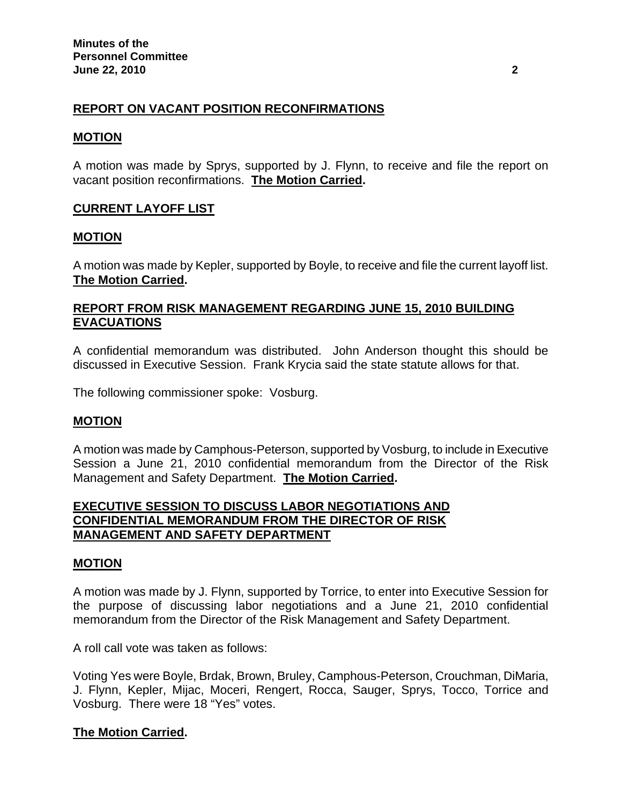# **REPORT ON VACANT POSITION RECONFIRMATIONS**

### **MOTION**

A motion was made by Sprys, supported by J. Flynn, to receive and file the report on vacant position reconfirmations. **The Motion Carried.** 

## **CURRENT LAYOFF LIST**

### **MOTION**

A motion was made by Kepler, supported by Boyle, to receive and file the current layoff list. **The Motion Carried.** 

## **REPORT FROM RISK MANAGEMENT REGARDING JUNE 15, 2010 BUILDING EVACUATIONS**

A confidential memorandum was distributed. John Anderson thought this should be discussed in Executive Session. Frank Krycia said the state statute allows for that.

The following commissioner spoke: Vosburg.

## **MOTION**

A motion was made by Camphous-Peterson, supported by Vosburg, to include in Executive Session a June 21, 2010 confidential memorandum from the Director of the Risk Management and Safety Department. **The Motion Carried.** 

## **EXECUTIVE SESSION TO DISCUSS LABOR NEGOTIATIONS AND CONFIDENTIAL MEMORANDUM FROM THE DIRECTOR OF RISK MANAGEMENT AND SAFETY DEPARTMENT**

### **MOTION**

A motion was made by J. Flynn, supported by Torrice, to enter into Executive Session for the purpose of discussing labor negotiations and a June 21, 2010 confidential memorandum from the Director of the Risk Management and Safety Department.

A roll call vote was taken as follows:

Voting Yes were Boyle, Brdak, Brown, Bruley, Camphous-Peterson, Crouchman, DiMaria, J. Flynn, Kepler, Mijac, Moceri, Rengert, Rocca, Sauger, Sprys, Tocco, Torrice and Vosburg. There were 18 "Yes" votes.

## **The Motion Carried.**